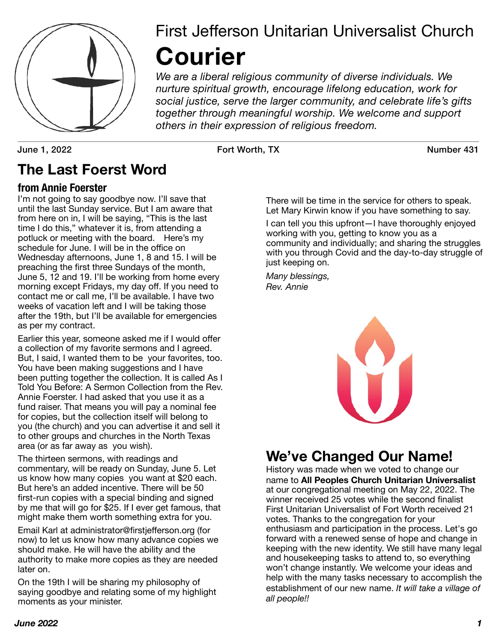

# First Jefferson Unitarian Universalist Church **Courier**

*We are a liberal religious community of diverse individuals. We nurture spiritual growth, encourage lifelong education, work for social justice, serve the larger community, and celebrate life's gifts together through meaningful worship. We welcome and support others in their expression of religious freedom.*

June 1, 2022 Fort Worth, TX Number 431

# **The Last Foerst Word**

### **from Annie Foerster**

I'm not going to say goodbye now. I'll save that until the last Sunday service. But I am aware that from here on in, I will be saying, "This is the last time I do this," whatever it is, from attending a potluck or meeting with the board. Here's my schedule for June. I will be in the office on Wednesday afternoons, June 1, 8 and 15. I will be preaching the first three Sundays of the month, June 5, 12 and 19. I'll be working from home every morning except Fridays, my day off. If you need to contact me or call me, I'll be available. I have two weeks of vacation left and I will be taking those after the 19th, but I'll be available for emergencies as per my contract.

Earlier this year, someone asked me if I would offer a collection of my favorite sermons and I agreed. But, I said, I wanted them to be your favorites, too. You have been making suggestions and I have been putting together the collection. It is called As I Told You Before: A Sermon Collection from the Rev. Annie Foerster. I had asked that you use it as a fund raiser. That means you will pay a nominal fee for copies, but the collection itself will belong to you (the church) and you can advertise it and sell it to other groups and churches in the North Texas area (or as far away as you wish).

The thirteen sermons, with readings and commentary, will be ready on Sunday, June 5. Let us know how many copies you want at \$20 each. But here's an added incentive. There will be 50 first-run copies with a special binding and signed by me that will go for \$25. If I ever get famous, that might make them worth something extra for you.

Email Karl at administrator@firstjefferson.org (for now) to let us know how many advance copies we should make. He will have the ability and the authority to make more copies as they are needed later on.

On the 19th I will be sharing my philosophy of saying goodbye and relating some of my highlight moments as your minister.

There will be time in the service for others to speak. Let Mary Kirwin know if you have something to say.

I can tell you this upfront—I have thoroughly enjoyed working with you, getting to know you as a community and individually; and sharing the struggles with you through Covid and the day-to-day struggle of just keeping on.

*Many blessings, Rev. Annie* 



# **We've Changed Our Name!**

History was made when we voted to change our name to **All Peoples Church Unitarian Universalist**  at our congregational meeting on May 22, 2022. The winner received 25 votes while the second finalist First Unitarian Universalist of Fort Worth received 21 votes. Thanks to the congregation for your enthusiasm and participation in the process. Let's go forward with a renewed sense of hope and change in keeping with the new identity. We still have many legal and housekeeping tasks to attend to, so everything won't change instantly. We welcome your ideas and help with the many tasks necessary to accomplish the establishment of our new name. *It will take a village of all people!!*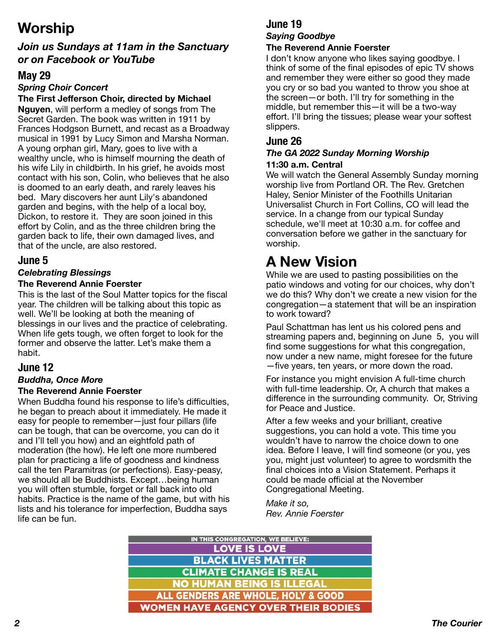# **Worship**

### *Join us Sundays at 11am in the Sanctuary or on Facebook or YouTube*

### **May 29**

### *Spring Choir Concert*

### **The First Jefferson Choir, directed by Michael**

**Nguyen**, will perform a medley of songs from The Secret Garden. The book was written in 1911 by Frances Hodgson Burnett, and recast as a Broadway musical in 1991 by Lucy Simon and Marsha Norman. A young orphan girl, Mary, goes to live with a wealthy uncle, who is himself mourning the death of his wife Lily in childbirth. In his grief, he avoids most contact with his son, Colin, who believes that he also is doomed to an early death, and rarely leaves his bed. Mary discovers her aunt Lily's abandoned garden and begins, with the help of a local boy, Dickon, to restore it. They are soon joined in this effort by Colin, and as the three children bring the garden back to life, their own damaged lives, and that of the uncle, are also restored.

#### **June 5**

### *Celebrating Blessings*

#### **The Reverend Annie Foerster**

This is the last of the Soul Matter topics for the fiscal year. The children will be talking about this topic as well. We'll be looking at both the meaning of blessings in our lives and the practice of celebrating. When life gets tough, we often forget to look for the former and observe the latter. Let's make them a habit.

### **June 12**

### *Buddha, Once More*

#### **The Reverend Annie Foerster**

When Buddha found his response to life's difficulties, he began to preach about it immediately. He made it easy for people to remember—just four pillars (life can be tough, that can be overcome, you can do it and I'll tell you how) and an eightfold path of moderation (the how). He left one more numbered plan for practicing a life of goodness and kindness call the ten Paramitras (or perfections). Easy-peasy, we should all be Buddhists. Except…being human you will often stumble, forget or fall back into old habits. Practice is the name of the game, but with his lists and his tolerance for imperfection, Buddha says life can be fun.

### **June 19**

#### *Saying Goodbye*  **The Reverend Annie Foerster**

I don't know anyone who likes saying goodbye. I think of some of the final episodes of epic TV shows and remember they were either so good they made you cry or so bad you wanted to throw you shoe at the screen—or both. I'll try for something in the middle, but remember this—it will be a two-way effort. I'll bring the tissues; please wear your softest slippers.

### **June 26**

#### *The GA 2022 Sunday Morning Worship*  **11:30 a.m. Central**

We will watch the General Assembly Sunday morning worship live from Portland OR. The Rev. Gretchen Haley, Senior Minister of the Foothills Unitarian Universalist Church in Fort Collins, CO will lead the service. In a change from our typical Sunday schedule, we'll meet at 10:30 a.m. for coffee and conversation before we gather in the sanctuary for worship.

# **A New Vision**

While we are used to pasting possibilities on the patio windows and voting for our choices, why don't we do this? Why don't we create a new vision for the congregation—a statement that will be an inspiration to work toward?

Paul Schattman has lent us his colored pens and streaming papers and, beginning on June 5, you will find some suggestions for what this congregation, now under a new name, might foresee for the future —five years, ten years, or more down the road.

For instance you might envision A full-time church with full-time leadership. Or, A church that makes a difference in the surrounding community. Or, Striving for Peace and Justice.

After a few weeks and your brilliant, creative suggestions, you can hold a vote. This time you wouldn't have to narrow the choice down to one idea. Before I leave, I will find someone (or you, yes you, might just volunteer) to agree to wordsmith the final choices into a Vision Statement. Perhaps it could be made official at the November Congregational Meeting.

*Make it so, Rev. Annie Foerster* 

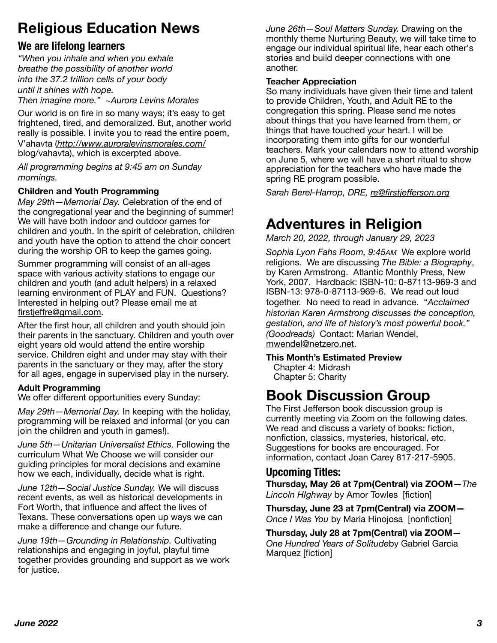# **Religious Education News**

### **We are lifelong learners**

*"When you inhale and when you exhale breathe the possibility of another world into the 37.2 trillion cells of your body until it shines with hope.*

*Then imagine more." ~Aurora Levins Morales* 

Our world is on fire in so many ways; it's easy to get frightened, tired, and demoralized. But, another world really is possible. I invite you to read the entire poem, V'ahavta (*<http://www.auroralevinsmorales.com/>* blog/vahavta), which is excerpted above.

*All programming begins at 9:45 am on Sunday mornings.* 

#### **Children and Youth Programming**

*May 29th—Memorial Day.* Celebration of the end of the congregational year and the beginning of summer! We will have both indoor and outdoor games for children and youth. In the spirit of celebration, children and youth have the option to attend the choir concert during the worship OR to keep the games going.

Summer programming will consist of an all-ages space with various activity stations to engage our children and youth (and adult helpers) in a relaxed learning environment of PLAY and FUN. Questions? Interested in helping out? Please email me at firstjeff[re@gmail.com](mailto:firstjeffre@gmail.com).

After the first hour, all children and youth should join their parents in the sanctuary. Children and youth over eight years old would attend the entire worship service. Children eight and under may stay with their parents in the sanctuary or they may, after the story for all ages, engage in supervised play in the nursery.

#### **Adult Programming**

We offer different opportunities every Sunday:

*May 29th—Memorial Day.* In keeping with the holiday, programming will be relaxed and informal (or you can join the children and youth in games!).

*June 5th—Unitarian Universalist Ethics.* Following the curriculum What We Choose we will consider our guiding principles for moral decisions and examine how we each, individually, decide what is right.

*June 12th—Social Justice Sunday.* We will discuss recent events, as well as historical developments in Fort Worth, that influence and affect the lives of Texans. These conversations open up ways we can make a difference and change our future.

*June 19th—Grounding in Relationship.* Cultivating relationships and engaging in joyful, playful time together provides grounding and support as we work for justice.

*June 26th—Soul Matters Sunday.* Drawing on the monthly theme Nurturing Beauty, we will take time to engage our individual spiritual life, hear each other's stories and build deeper connections with one another.

#### **Teacher Appreciation**

So many individuals have given their time and talent to provide Children, Youth, and Adult RE to the congregation this spring. Please send me notes about things that you have learned from them, or things that have touched your heart. I will be incorporating them into gifts for our wonderful teachers. Mark your calendars now to attend worship on June 5, where we will have a short ritual to show appreciation for the teachers who have made the spring RE program possible.

*Sarah Berel-Harrop, DRE, re@firstjeff[erson.org](mailto:re@firstjefferson.org)*

# **Adventures in Religion**

*March 20, 2022, through January 29, 2023* 

*Sophia Lyon Fahs Room, 9:45AM* We explore world religions. We are discussing *The Bible: a Biography*, by Karen Armstrong. Atlantic Monthly Press, New York, 2007. Hardback: ISBN-10: 0-87113-969-3 and ISBN-13: 978-0-87113-969-6. We read out loud together. No need to read in advance. "*Acclaimed historian Karen Armstrong discusses the conception, gestation, and life of history's most powerful book." (Goodreads)* Contact: Marian Wendel, [mwendel@netzero.net](mailto:no_reply@apple.com).

#### **This Month's Estimated Preview**

 Chapter 4: Midrash Chapter 5: Charity

## **Book Discussion Group**

The First Jefferson book discussion group is currently meeting via Zoom on the following dates. We read and discuss a variety of books: fiction, nonfiction, classics, mysteries, historical, etc. Suggestions for books are encouraged. For information, contact Joan Carey 817-217-5905.

### **Upcoming Titles:**

**Thursday, May 26 at 7pm(Central) via ZOOM—***The Lincoln HIghway* by Amor Towles [fiction]

**Thursday, June 23 at 7pm(Central) via ZOOM—** *Once I Was You* by Maria Hinojosa [nonfiction]

**Thursday, July 28 at 7pm(Central) via ZOOM—** *One Hundred Years of Solitude*by Gabriel Garcia Marquez [fiction]